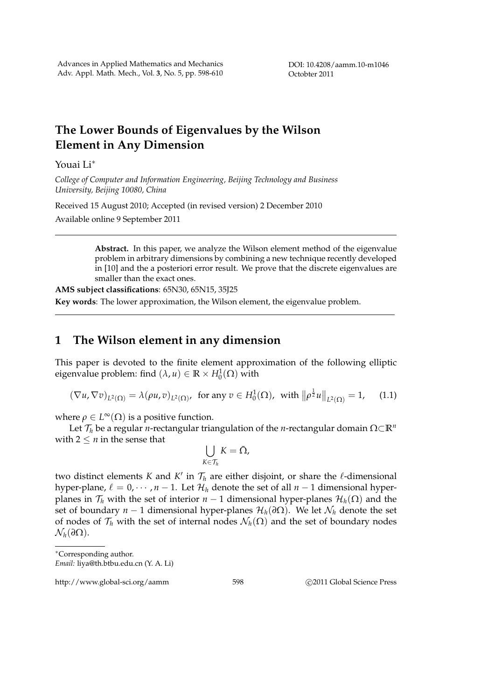# **The Lower Bounds of Eigenvalues by the Wilson Element in Any Dimension**

Youai Li*<sup>∗</sup>*

*College of Computer and Information Engineering, Beijing Technology and Business University, Beijing 10080, China*

Received 15 August 2010; Accepted (in revised version) 2 December 2010

Available online 9 September 2011

**Abstract.** In this paper, we analyze the Wilson element method of the eigenvalue problem in arbitrary dimensions by combining a new technique recently developed in [10] and the a posteriori error result. We prove that the discrete eigenvalues are smaller than the exact ones.

**AMS subject classifications**: 65N30, 65N15, 35J25 **Key words**: The lower approximation, the Wilson element, the eigenvalue problem.

### **1 The Wilson element in any dimension**

This paper is devoted to the finite element approximation of the following elliptic eigenvalue problem: find  $(\lambda, u) \in \mathbb{R} \times H_0^1(\Omega)$  with

$$
(\nabla u, \nabla v)_{L^2(\Omega)} = \lambda (\rho u, v)_{L^2(\Omega)}, \text{ for any } v \in H_0^1(\Omega), \text{ with } ||\rho^{\frac{1}{2}} u||_{L^2(\Omega)} = 1, \quad (1.1)
$$

where  $\rho \in L^{\infty}(\Omega)$  is a positive function.

Let *T<sup>h</sup>* be a regular *n*-rectangular triangulation of the *n*-rectangular domain Ω*⊂***R***<sup>n</sup>* with  $2 \leq n$  in the sense that

$$
\bigcup_{K\in\mathcal{T}_h}K=\bar{\Omega},
$$

two distinct elements *K* and *K ′* in *T<sup>h</sup>* are either disjoint, or share the *ℓ*-dimensional hyper-plane,  $\ell = 0, \dots, n-1$ . Let  $\mathcal{H}_h$  denote the set of all  $n-1$  dimensional hyperplanes in  $\mathcal{T}_h$  with the set of interior  $n-1$  dimensional hyper-planes  $\mathcal{H}_h(\Omega)$  and the set of boundary *n* − 1 dimensional hyper-planes  $\mathcal{H}_h(\partial\Omega)$ . We let  $\mathcal{N}_h$  denote the set of nodes of  $\mathcal{T}_h$  with the set of internal nodes  $\mathcal{N}_h(\Omega)$  and the set of boundary nodes *N<sub>h</sub>*(*∂*Ω).

http://www.global-sci.org/aamm 598 **blog 2011** Global Science Press

*<sup>∗</sup>*Corresponding author. *Email:* liya@th.btbu.edu.cn (Y. A. Li)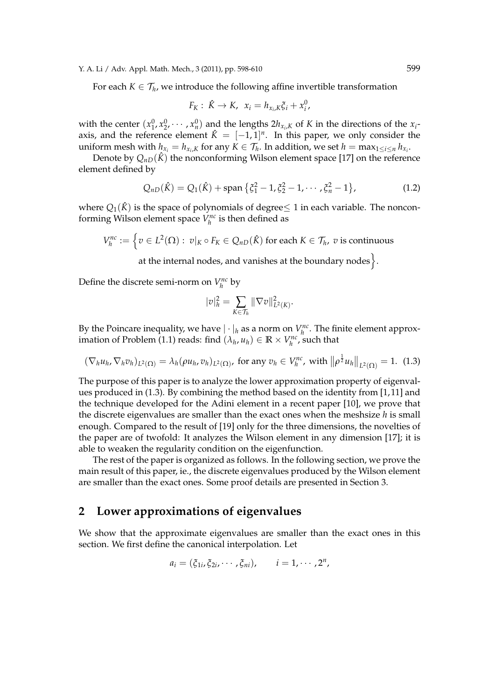For each  $K \in \mathcal{T}_h$ , we introduce the following affine invertible transformation

$$
F_K: \ \hat{K} \to K, \ \ x_i = h_{x_i,K} \xi_i + x_i^0,
$$

with the center  $(x_1^0, x_2^0, \dots, x_n^0)$  and the lengths  $2h_{x_i,K}$  of *K* in the directions of the  $x_i$ axis, and the reference element  $\hat{K} = [-1,1]^n$ . In this paper, we only consider the uniform mesh with  $h_{x_i} = h_{x_i,K}$  for any  $K \in \mathcal{T}_h$ . In addition, we set  $h = \max_{1 \leq i \leq n} h_{x_i}$ .

Denote by  $Q_{nD}(\hat{K})$  the nonconforming Wilson element space [17] on the reference element defined by

$$
Q_{nD}(\hat{K}) = Q_1(\hat{K}) + \text{span}\left\{\xi_1^2 - 1, \xi_2^2 - 1, \cdots, \xi_n^2 - 1\right\},\tag{1.2}
$$

where  $Q_1(\hat{K})$  is the space of polynomials of degree  $\leq 1$  in each variable. The nonconforming Wilson element space  $V_h^{nc}$  is then defined as

$$
V_h^{nc} := \left\{ v \in L^2(\Omega) : \ v|_K \circ F_K \in Q_{nD}(\hat{K}) \text{ for each } K \in \mathcal{T}_h, \ v \text{ is continuous} \right\}
$$

at the internal nodes, and vanishes at the boundary nodes $\}$ .

Define the discrete semi-norm on  $V_h^{nc}$  by

$$
|v|_h^2 = \sum_{K \in \mathcal{T}_h} ||\nabla v||_{L^2(K)}^2.
$$

By the Poincare inequality, we have  $|\cdot|_h$  as a norm on  $V_h^{nc}$ . The finite element approximation of Problem (1.1) reads: find  $(\lambda_h, u_h) \in \mathbb{R} \times V_h^{nc}$ , such that

$$
(\nabla_h u_h, \nabla_h v_h)_{L^2(\Omega)} = \lambda_h (\rho u_h, v_h)_{L^2(\Omega)}, \text{ for any } v_h \in V_h^{nc}, \text{ with } \left\| \rho^{\frac{1}{2}} u_h \right\|_{L^2(\Omega)} = 1. \tag{1.3}
$$

The purpose of this paper is to analyze the lower approximation property of eigenvalues produced in (1.3). By combining the method based on the identity from [1,11] and the technique developed for the Adini element in a recent paper [10], we prove that the discrete eigenvalues are smaller than the exact ones when the meshsize *h* is small enough. Compared to the result of [19] only for the three dimensions, the novelties of the paper are of twofold: It analyzes the Wilson element in any dimension [17]; it is able to weaken the regularity condition on the eigenfunction.

The rest of the paper is organized as follows. In the following section, we prove the main result of this paper, ie., the discrete eigenvalues produced by the Wilson element are smaller than the exact ones. Some proof details are presented in Section 3.

## **2 Lower approximations of eigenvalues**

We show that the approximate eigenvalues are smaller than the exact ones in this section. We first define the canonical interpolation. Let

$$
a_i=(\xi_{1i},\xi_{2i},\cdots,\xi_{ni}),\qquad i=1,\cdots,2^n,
$$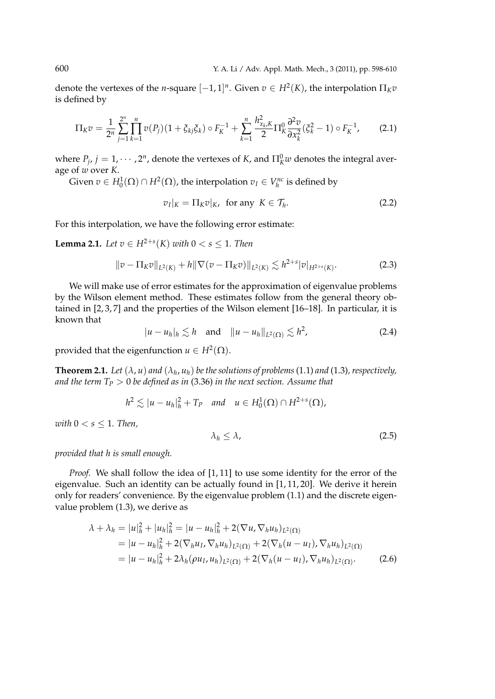denote the vertexes of the *n*-square  $[-1, 1]^n$ . Given  $v \in H^2(K)$ , the interpolation  $\Pi_K v$ is defined by

$$
\Pi_K v = \frac{1}{2^n} \sum_{j=1}^{2^n} \prod_{k=1}^n v(P_j)(1 + \xi_{kj} \xi_k) \circ F_K^{-1} + \sum_{k=1}^n \frac{h_{x_k,K}^2}{2} \Pi_K^0 \frac{\partial^2 v}{\partial x_k^2} (\xi_k^2 - 1) \circ F_K^{-1}, \tag{2.1}
$$

where  $P_j$ ,  $j = 1, \cdots, 2^n$ , denote the vertexes of *K*, and  $\Pi_K^0 w$  denotes the integral average of *w* over *K*.

Given  $v \in H_0^1(\Omega) \cap H^2(\Omega)$ , the interpolation  $v_I \in V_h^{nc}$  is defined by

$$
v_I|_K = \Pi_K v|_K, \text{ for any } K \in \mathcal{T}_h. \tag{2.2}
$$

For this interpolation, we have the following error estimate:

**Lemma 2.1.** *Let*  $v \in H^{2+s}(K)$  *with*  $0 < s \leq 1$ *. Then* 

$$
||v - \Pi_K v||_{L^2(K)} + h||\nabla (v - \Pi_K v)||_{L^2(K)} \lesssim h^{2+s}|v|_{H^{2+s}(K)}.
$$
 (2.3)

We will make use of error estimates for the approximation of eigenvalue problems by the Wilson element method. These estimates follow from the general theory obtained in [2, 3, 7] and the properties of the Wilson element [16–18]. In particular, it is known that

$$
|u - u_h|_h \lesssim h \quad \text{and} \quad \|u - u_h\|_{L^2(\Omega)} \lesssim h^2,\tag{2.4}
$$

provided that the eigenfunction  $u \in H^2(\Omega)$ .

**Theorem 2.1.** Let  $(\lambda, u)$  and  $(\lambda_h, u_h)$  be the solutions of problems (1.1) and (1.3), respectively, *and the term T<sup>P</sup> >* 0 *be defined as in* (3.36) *in the next section. Assume that*

$$
h^2 \lesssim |u - u_h|_h^2 + T_P \quad \text{and} \quad u \in H_0^1(\Omega) \cap H^{2+s}(\Omega),
$$

*with*  $0 < s \leq 1$ *. Then,* 

$$
\lambda_h \le \lambda,\tag{2.5}
$$

*provided that h is small enough.*

*Proof.* We shall follow the idea of [1, 11] to use some identity for the error of the eigenvalue. Such an identity can be actually found in [1, 11, 20]. We derive it herein only for readers' convenience. By the eigenvalue problem (1.1) and the discrete eigenvalue problem (1.3), we derive as

$$
\lambda + \lambda_h = |u|_h^2 + |u_h|_h^2 = |u - u_h|_h^2 + 2(\nabla u, \nabla_h u_h)_{L^2(\Omega)}
$$
  
= 
$$
|u - u_h|_h^2 + 2(\nabla_h u_I, \nabla_h u_h)_{L^2(\Omega)} + 2(\nabla_h (u - u_I), \nabla_h u_h)_{L^2(\Omega)}
$$
  
= 
$$
|u - u_h|_h^2 + 2\lambda_h (\rho u_I, u_h)_{L^2(\Omega)} + 2(\nabla_h (u - u_I), \nabla_h u_h)_{L^2(\Omega)}.
$$
 (2.6)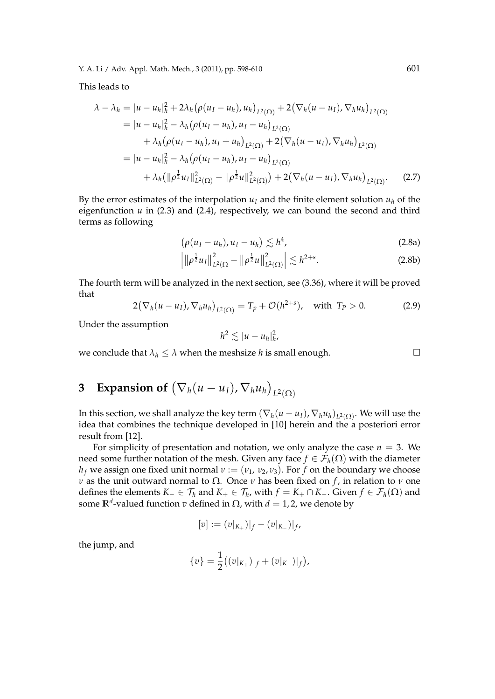This leads to

$$
\lambda - \lambda_h = |u - u_h|_h^2 + 2\lambda_h (\rho(u_I - u_h), u_h)_{L^2(\Omega)} + 2(\nabla_h (u - u_I), \nabla_h u_h)_{L^2(\Omega)}
$$
  
\n
$$
= |u - u_h|_h^2 - \lambda_h (\rho(u_I - u_h), u_I - u_h)_{L^2(\Omega)}
$$
  
\n
$$
+ \lambda_h (\rho(u_I - u_h), u_I + u_h)_{L^2(\Omega)} + 2(\nabla_h (u - u_I), \nabla_h u_h)_{L^2(\Omega)}
$$
  
\n
$$
= |u - u_h|_h^2 - \lambda_h (\rho(u_I - u_h), u_I - u_h)_{L^2(\Omega)}
$$
  
\n
$$
+ \lambda_h (||\rho^{\frac{1}{2}} u_I||_{L^2(\Omega)}^2 - ||\rho^{\frac{1}{2}} u||_{L^2(\Omega)}^2) + 2(\nabla_h (u - u_I), \nabla_h u_h)_{L^2(\Omega)}.
$$
 (2.7)

By the error estimates of the interpolation  $u_I$  and the finite element solution  $u_h$  of the eigenfunction *u* in (2.3) and (2.4), respectively, we can bound the second and third terms as following

$$
\left(\rho(u_I-u_h),u_I-u_h\right)\lesssim h^4,\tag{2.8a}
$$

$$
\left| \|\rho^{\frac{1}{2}}u_I\|^2_{L^2(\Omega)} - \|\rho^{\frac{1}{2}}u\|^2_{L^2(\Omega)} \right| \lesssim h^{2+s}.
$$
 (2.8b)

The fourth term will be analyzed in the next section, see (3.36), where it will be proved that

$$
2(\nabla_h(u - u_I), \nabla_h u_h)_{L^2(\Omega)} = T_p + \mathcal{O}(h^{2+s}), \text{ with } T_p > 0.
$$
 (2.9)

Under the assumption

$$
h^2 \lesssim |u-u_h|_h^2,
$$

we conclude that  $\lambda_h \leq \lambda$  when the meshsize *h* is small enough.

3 Expansion of 
$$
(\nabla_h(u - u_I), \nabla_h u_h)_{L^2(\Omega)}
$$

In this section, we shall analyze the key term  $(\nabla_h(u - u_I), \nabla_h u_h)_{L^2(\Omega)}$ . We will use the idea that combines the technique developed in [10] herein and the a posteriori error result from [12].

For simplicity of presentation and notation, we only analyze the case  $n = 3$ . We need some further notation of the mesh. Given any face  $f \in \mathcal{F}_h(\Omega)$  with the diameter *h*<sub>*f*</sub> we assign one fixed unit normal  $v := (v_1, v_2, v_3)$ . For *f* on the boundary we choose *ν* as the unit outward normal to  $Ω$ . Once *ν* has been fixed on *f*, in relation to *ν* one defines the elements  $K_-\in\mathcal{T}_h$  and  $K_+\in\mathcal{T}_h$ , with  $f=K_+\cap K_-.$  Given  $f\in\mathcal{F}_h(\Omega)$  and some  $\mathbb{R}^d$ -valued function  $v$  defined in Ω, with  $d = 1, 2$ , we denote by

$$
[v] := (v|_{K_+})|_f - (v|_{K_-})|_f,
$$

the jump, and

$$
\{v\} = \frac{1}{2}((v|_{K_+})|_f + (v|_{K_-})|_f),
$$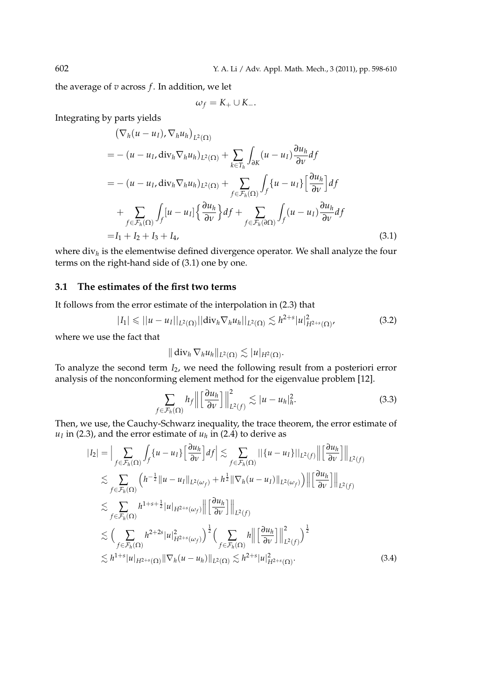the average of *v* across *f* . In addition, we let

$$
\omega_f = K_+ \cup K_-.
$$

Integrating by parts yields

$$
\begin{split}\n& (\nabla_h (u - u_I), \nabla_h u_h)_{L^2(\Omega)} \\
&= -(u - u_I, \text{div}_h \nabla_h u_h)_{L^2(\Omega)} + \sum_{k \in T_h} \int_{\partial K} (u - u_I) \frac{\partial u_h}{\partial v} df \\
&= -(u - u_I, \text{div}_h \nabla_h u_h)_{L^2(\Omega)} + \sum_{f \in \mathcal{F}_h(\Omega)} \int_f \{u - u_I\} \left[ \frac{\partial u_h}{\partial v} \right] df \\
&+ \sum_{f \in \mathcal{F}_h(\Omega)} \int_f [u - u_I] \left\{ \frac{\partial u_h}{\partial v} \right\} df + \sum_{f \in \mathcal{F}_h(\partial \Omega)} \int_f (u - u_I) \frac{\partial u_h}{\partial v} df \\
&= I_1 + I_2 + I_3 + I_4,\n\end{split} \tag{3.1}
$$

where div*<sup>h</sup>* is the elementwise defined divergence operator. We shall analyze the four terms on the right-hand side of (3.1) one by one.

#### **3.1 The estimates of the first two terms**

It follows from the error estimate of the interpolation in (2.3) that

$$
|I_1| \leq ||u - u_I||_{L^2(\Omega)} ||\text{div}_h \nabla_h u_h||_{L^2(\Omega)} \lesssim h^{2+s} |u|_{H^{2+s}(\Omega)}^2,
$$
\n(3.2)

where we use the fact that

$$
\|\operatorname{div}_h \nabla_h u_h\|_{L^2(\Omega)} \lesssim |u|_{H^2(\Omega)}.
$$

To analyze the second term *I*2, we need the following result from a posteriori error analysis of the nonconforming element method for the eigenvalue problem [12].

$$
\sum_{f \in \mathcal{F}_h(\Omega)} h_f \left\| \left[ \frac{\partial u_h}{\partial \nu} \right] \right\|_{L^2(f)}^2 \lesssim |u - u_h|_h^2. \tag{3.3}
$$

Then, we use, the Cauchy-Schwarz inequality, the trace theorem, the error estimate of  $u_I$  in (2.3), and the error estimate of  $u_h$  in (2.4) to derive as

$$
|I_{2}| = \Big| \sum_{f \in \mathcal{F}_{h}(\Omega)} \int_{f} \{u - u_{I}\} \Big[ \frac{\partial u_{h}}{\partial v} \Big] df \Big| \lesssim \sum_{f \in \mathcal{F}_{h}(\Omega)} \Big| \Big| \{u - u_{I}\} \Big| \Big|_{L^{2}(f)} \Big| \Big[ \frac{\partial u_{h}}{\partial v} \Big] \Big| \Big|_{L^{2}(f)}
$$
  
\n
$$
\lesssim \sum_{f \in \mathcal{F}_{h}(\Omega)} \Big( h^{-\frac{1}{2}} \|u - u_{I}\|_{L^{2}(\omega_{f})} + h^{\frac{1}{2}} \|\nabla_{h}(u - u_{I})\|_{L^{2}(\omega_{f})} \Big) \Big| \Big[ \frac{\partial u_{h}}{\partial v} \Big] \Big| \Big|_{L^{2}(f)}
$$
  
\n
$$
\lesssim \sum_{f \in \mathcal{F}_{h}(\Omega)} h^{1+s+\frac{1}{2}} |u|_{H^{2+s}(\omega_{f})} \Big| \Big[ \frac{\partial u_{h}}{\partial v} \Big] \Big| \Big|_{L^{2}(f)}
$$
  
\n
$$
\lesssim \Big( \sum_{f \in \mathcal{F}_{h}(\Omega)} h^{2+2s} |u|_{H^{2+s}(\omega_{f})}^{2} \Big)^{\frac{1}{2}} \Big( \sum_{f \in \mathcal{F}_{h}(\Omega)} h \Big| \Big[ \frac{\partial u_{h}}{\partial v} \Big] \Big| \Big|_{L^{2}(f)}^{2} \Big)^{\frac{1}{2}}
$$
  
\n
$$
\lesssim h^{1+s} |u|_{H^{2+s}(\Omega)} \| \nabla_{h}(u - u_{h}) \|_{L^{2}(\Omega)} \lesssim h^{2+s} |u|_{H^{2+s}(\Omega)}^{2}.
$$
\n(3.4)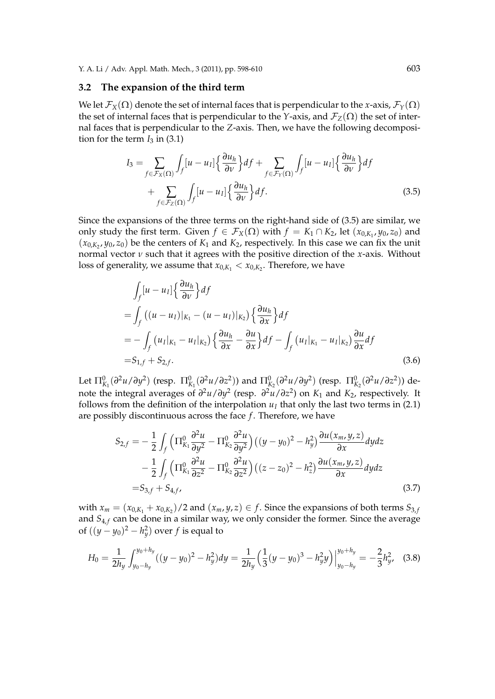#### **3.2 The expansion of the third term**

We let  $\mathcal{F}_X(\Omega)$  denote the set of internal faces that is perpendicular to the *x*-axis,  $\mathcal{F}_Y(\Omega)$ the set of internal faces that is perpendicular to the *Y*-axis, and  $\mathcal{F}_Z(\Omega)$  the set of internal faces that is perpendicular to the *Z*-axis. Then, we have the following decomposition for the term  $I_3$  in  $(3.1)$ 

$$
I_3 = \sum_{f \in \mathcal{F}_X(\Omega)} \int_f [u - u_I] \left\{ \frac{\partial u_h}{\partial v} \right\} df + \sum_{f \in \mathcal{F}_Y(\Omega)} \int_f [u - u_I] \left\{ \frac{\partial u_h}{\partial v} \right\} df + \sum_{f \in \mathcal{F}_Z(\Omega)} \int_f [u - u_I] \left\{ \frac{\partial u_h}{\partial v} \right\} df.
$$
\n(3.5)

Since the expansions of the three terms on the right-hand side of (3.5) are similar, we only study the first term. Given  $f \in \mathcal{F}_X(\Omega)$  with  $f = K_1 \cap K_2$ , let  $(x_{0,K_1}, y_0, z_0)$  and  $(x_{0,K_2}, y_0, z_0)$  be the centers of  $K_1$  and  $K_2$ , respectively. In this case we can fix the unit normal vector *ν* such that it agrees with the positive direction of the *x*-axis. Without loss of generality, we assume that  $x_{0,K_1} < x_{0,K_2}$ . Therefore, we have

$$
\int_{f} [u - u_{I}] \left\{ \frac{\partial u_{h}}{\partial v} \right\} df
$$
\n
$$
= \int_{f} ((u - u_{I})|_{K_{1}} - (u - u_{I})|_{K_{2}}) \left\{ \frac{\partial u_{h}}{\partial x} \right\} df
$$
\n
$$
= - \int_{f} (u_{I}|_{K_{1}} - u_{I}|_{K_{2}}) \left\{ \frac{\partial u_{h}}{\partial x} - \frac{\partial u}{\partial x} \right\} df - \int_{f} (u_{I}|_{K_{1}} - u_{I}|_{K_{2}}) \frac{\partial u}{\partial x} df
$$
\n
$$
= S_{1,f} + S_{2,f}.
$$
\n(3.6)

Let  $\Pi_{K_1}^0(\partial^2 u/\partial y^2)$  (resp.  $\Pi_{K_1}^0(\partial^2 u/\partial z^2)$ ) and  $\Pi_{K_2}^0(\partial^2 u/\partial y^2)$  (resp.  $\Pi_{K_2}^0(\partial^2 u/\partial z^2)$ ) denote the integral averages of *∂* <sup>2</sup>*u*/*∂y* 2 (resp. *∂* <sup>2</sup>*u*/*∂z* 2 ) on *K*<sup>1</sup> and *K*2, respectively. It follows from the definition of the interpolation  $u_I$  that only the last two terms in (2.1) are possibly discontinuous across the face *f*. Therefore, we have

$$
S_{2,f} = -\frac{1}{2} \int_{f} \left( \Pi_{K_1}^{0} \frac{\partial^2 u}{\partial y^2} - \Pi_{K_2}^{0} \frac{\partial^2 u}{\partial y^2} \right) \left( (y - y_0)^2 - h_y^2 \right) \frac{\partial u(x_m, y, z)}{\partial x} dy dz
$$
  

$$
- \frac{1}{2} \int_{f} \left( \Pi_{K_1}^{0} \frac{\partial^2 u}{\partial z^2} - \Pi_{K_2}^{0} \frac{\partial^2 u}{\partial z^2} \right) \left( (z - z_0)^2 - h_z^2 \right) \frac{\partial u(x_m, y, z)}{\partial x} dy dz
$$
  

$$
= S_{3,f} + S_{4,f}, \qquad (3.7)
$$

with  $x_m = (x_{0,K_1} + x_{0,K_2})/2$  and  $(x_m, y, z) \in f$ . Since the expansions of both terms  $S_{3,f}$ and *S*<sub>4,*f*</sub> can be done in a similar way, we only consider the former. Since the average of  $((y - y_0)^2 - h_y^2)$  over  $f$  is equal to

$$
H_0 = \frac{1}{2h_y} \int_{y_0 - h_y}^{y_0 + h_y} ((y - y_0)^2 - h_y^2) dy = \frac{1}{2h_y} \Big( \frac{1}{3} (y - y_0)^3 - h_y^2 y \Big) \Big|_{y_0 - h_y}^{y_0 + h_y} = -\frac{2}{3} h_y^2, \quad (3.8)
$$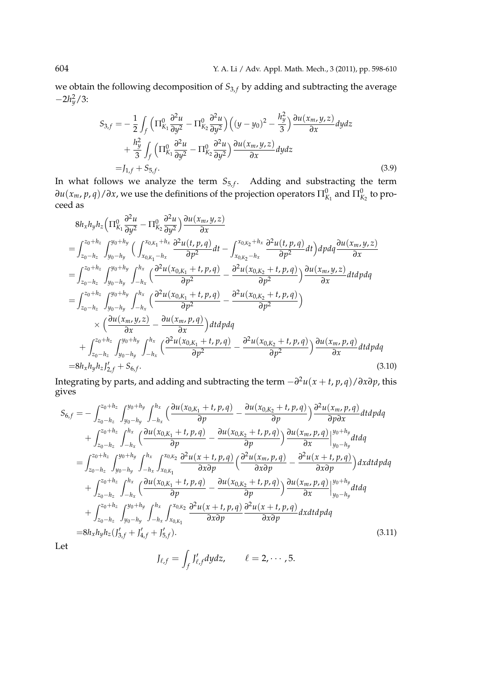we obtain the following decomposition of  $S_{3,f}$  by adding and subtracting the average *−*2*h* 2 *<sup>y</sup>*/3:

$$
S_{3,f} = -\frac{1}{2} \int_{f} \left( \Pi_{K_1}^{0} \frac{\partial^2 u}{\partial y^2} - \Pi_{K_2}^{0} \frac{\partial^2 u}{\partial y^2} \right) \left( (y - y_0)^2 - \frac{h_y^2}{3} \right) \frac{\partial u(x_m, y, z)}{\partial x} dy dz + \frac{h_y^2}{3} \int_{f} \left( \Pi_{K_1}^{0} \frac{\partial^2 u}{\partial y^2} - \Pi_{K_2}^{0} \frac{\partial^2 u}{\partial y^2} \right) \frac{\partial u(x_m, y, z)}{\partial x} dy dz = J_{1,f} + S_{5,f}.
$$
 (3.9)

In what follows we analyze the term  $S_{5,f}$ . Adding and substracting the term  $∂u(x_m, p, q)/∂x$ , we use the definitions of the projection operators  $\Pi^0_{K_1}$  and  $\Pi^0_{K_2}$  to proceed as

$$
8h_xh_yh_z \left(\Pi_{K_1}^{0} \frac{\partial^2 u}{\partial y^2} - \Pi_{K_2}^{0} \frac{\partial^2 u}{\partial y^2}\right) \frac{\partial u(x_m, y, z)}{\partial x}
$$
\n
$$
= \int_{z_0 - h_z}^{z_0 + h_z} \int_{y_0 - h_y}^{y_0 + h_y} \left( \int_{x_{0,K_1} - h_x}^{x_{0,K_1} + h_x} \frac{\partial^2 u(t, p, q)}{\partial p^2} dt - \int_{x_{0,K_2} - h_x}^{x_{0,K_2} + h_x} \frac{\partial^2 u(t, p, q)}{\partial p^2} dt \right) dp dq \frac{\partial u(x_m, y, z)}{\partial x}
$$
\n
$$
= \int_{z_0 - h_z}^{z_0 + h_z} \int_{y_0 - h_y}^{y_0 + h_y} \int_{-h_x}^{h_x} \left( \frac{\partial^2 u(x_{0,K_1} + t, p, q)}{\partial p^2} - \frac{\partial^2 u(x_{0,K_2} + t, p, q)}{\partial p^2} \right) \frac{\partial u(x_m, y, z)}{\partial x} dt dp dq
$$
\n
$$
= \int_{z_0 - h_z}^{z_0 + h_z} \int_{y_0 - h_y}^{y_0 + h_y} \int_{-h_x}^{h_x} \left( \frac{\partial^2 u(x_{0,K_1} + t, p, q)}{\partial p^2} - \frac{\partial^2 u(x_{0,K_2} + t, p, q)}{\partial p^2} \right) dx dy dq
$$
\n
$$
+ \int_{z_0 - h_z}^{z_0 + h_z} \int_{y_0 - h_y}^{y_0 + h_y} \int_{-h_x}^{h_x} \left( \frac{\partial^2 u(x_{0,K_1} + t, p, q)}{\partial x} - \frac{\partial^2 u(x_{0,K_2} + t, p, q)}{\partial p^2} \right) \frac{\partial u(x_m, p, q)}{\partial x} dt dp dq
$$
\n
$$
= 8h_xh_yh_z J_{z,f}^{t} + S_{6,f}.
$$
\n(3.10)

Integrating by parts, and adding and subtracting the term *−∂* <sup>2</sup>*u*(*x* + *t*, *p*, *q*)/*∂x∂p*, this gives

$$
S_{6,f} = -\int_{z_0 - h_z}^{z_0 + h_z} \int_{y_0 - h_y}^{y_0 + h_y} \int_{-h_x}^{h_x} \left( \frac{\partial u(x_{0,K_1} + t, p, q)}{\partial p} - \frac{\partial u(x_{0,K_2} + t, p, q)}{\partial p} \right) \frac{\partial^2 u(x_m, p, q)}{\partial p \partial x} dt d p dq + \int_{z_0 - h_z}^{z_0 + h_z} \int_{-h_x}^{h_x} \left( \frac{\partial u(x_{0,K_1} + t, p, q)}{\partial p} - \frac{\partial u(x_{0,K_2} + t, p, q)}{\partial p} \right) \frac{\partial u(x_m, p, q)}{\partial x} \Big|_{y_0 - h_y}^{y_0 + h_y} dt dq = \int_{z_0 - h_z}^{z_0 + h_z} \int_{y_0 - h_y}^{y_0 + h_y} \int_{-h_x}^{h_x} \int_{x_{0,K_1}}^{x_{0,K_2}} \frac{\partial^2 u(x + t, p, q)}{\partial x \partial p} \left( \frac{\partial^2 u(x_m, p, q)}{\partial x \partial p} - \frac{\partial^2 u(x + t, p, q)}{\partial x \partial p} \right) dx dt d p dq + \int_{z_0 - h_z}^{z_0 + h_z} \int_{-h_x}^{h_x} \left( \frac{\partial u(x_{0,K_1} + t, p, q)}{\partial p} - \frac{\partial u(x_{0,K_2} + t, p, q)}{\partial p} \right) \frac{\partial u(x_m, p, q)}{\partial x} \Big|_{y_0 - h_y}^{y_0 + h_y} dt dq + \int_{z_0 - h_z}^{z_0 + h_z} \int_{y_0 - h_y}^{y_0 + h_y} \int_{-h_x}^{h_x} \int_{x_{0,K_1}}^{x_{0,K_2}} \frac{\partial^2 u(x + t, p, q)}{\partial x \partial p} \frac{\partial^2 u(x + t, p, q)}{\partial x \partial p} dx dt d p dq = 8h_x h_y h_z(f'_{3,f} + f'_{4,f} + f'_{5,f}). \tag{3.11}
$$

Let

$$
J_{\ell,f}=\int_f J'_{\ell,f}dydz, \qquad \ell=2,\cdots,5.
$$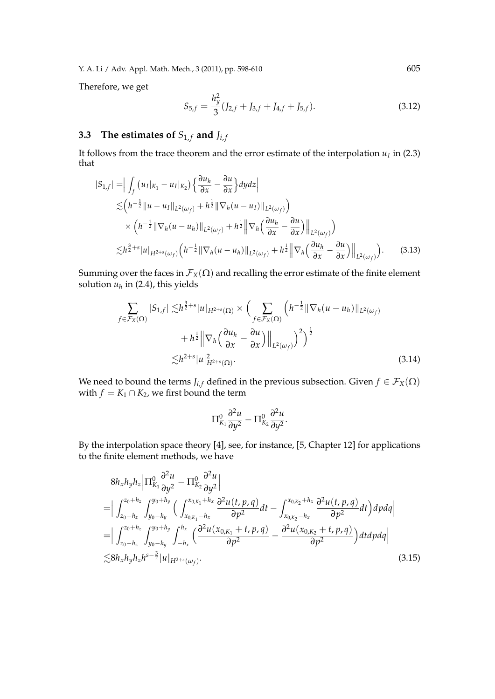Therefore, we get

$$
S_{5,f} = \frac{h_y^2}{3}(J_{2,f} + J_{3,f} + J_{4,f} + J_{5,f}).
$$
\n(3.12)

## **3.3** The estimates of  $S_{1,f}$  and  $J_{i,f}$

It follows from the trace theorem and the error estimate of the interpolation  $u_I$  in (2.3) that

$$
|S_{1,f}| = \Big| \int_f (u_I|_{K_1} - u_I|_{K_2}) \Big\{ \frac{\partial u_h}{\partial x} - \frac{\partial u}{\partial x} \Big\} dy dz \Big|
$$
  
\n
$$
\lesssim (h^{-\frac{1}{2}} \|u - u_I\|_{L^2(\omega_f)} + h^{\frac{1}{2}} \|\nabla_h (u - u_I)\|_{L^2(\omega_f)} )
$$
  
\n
$$
\times (h^{-\frac{1}{2}} \|\nabla_h (u - u_h)\|_{L^2(\omega_f)} + h^{\frac{1}{2}} \Big\| \nabla_h \Big(\frac{\partial u_h}{\partial x} - \frac{\partial u}{\partial x}\Big) \Big\|_{L^2(\omega_f)} \Big)
$$
  
\n
$$
\lesssim h^{\frac{3}{2}+s} |u|_{H^{2+s}(\omega_f)} \Big( h^{-\frac{1}{2}} \|\nabla_h (u - u_h)\|_{L^2(\omega_f)} + h^{\frac{1}{2}} \Big\| \nabla_h \Big(\frac{\partial u_h}{\partial x} - \frac{\partial u}{\partial x}\Big) \Big\|_{L^2(\omega_f)} \Big).
$$
 (3.13)

Summing over the faces in  $\mathcal{F}_X(\Omega)$  and recalling the error estimate of the finite element solution  $u_h$  in (2.4), this yields

$$
\sum_{f \in \mathcal{F}_X(\Omega)} |S_{1,f}| \lesssim h^{\frac{3}{2}+s} |u|_{H^{2+s}(\Omega)} \times \Big( \sum_{f \in \mathcal{F}_X(\Omega)} \left( h^{-\frac{1}{2}} \|\nabla_h (u - u_h)\|_{L^2(\omega_f)} \right) + h^{\frac{1}{2}} \|\nabla_h \left( \frac{\partial u_h}{\partial x} - \frac{\partial u}{\partial x} \right) \|_{L^2(\omega_f)} \Big)^2 \Big)^{\frac{1}{2}}
$$
\n
$$
\lesssim h^{2+s} |u|_{H^{2+s}(\Omega)}^2.
$$
\n(3.14)

We need to bound the terms *J*<sub>*i*, *f*</sub> defined in the previous subsection. Given  $f \in \mathcal{F}_X(\Omega)$ with  $f = K_1 \cap K_2$ , we first bound the term

$$
\Pi_{K_1}^0 \frac{\partial^2 u}{\partial y^2} - \Pi_{K_2}^0 \frac{\partial^2 u}{\partial y^2}.
$$

By the interpolation space theory [4], see, for instance, [5, Chapter 12] for applications to the finite element methods, we have

$$
8h_xh_yh_z\left|\Pi_{K_1}^0\frac{\partial^2 u}{\partial y^2} - \Pi_{K_2}^0\frac{\partial^2 u}{\partial y^2}\right|
$$
  
\n=
$$
\left|\int_{z_0-h_z}^{z_0+h_z}\int_{y_0-h_y}^{y_0+h_y}\left(\int_{x_{0,K_1}-h_x}^{x_{0,K_1}+h_x}\frac{\partial^2 u(t,p,q)}{\partial p^2}dt - \int_{x_{0,K_2}-h_x}^{x_{0,K_2}+h_x}\frac{\partial^2 u(t,p,q)}{\partial p^2}dt\right)dpdq\right|
$$
  
\n=
$$
\left|\int_{z_0-h_z}^{z_0+h_z}\int_{y_0-h_y}^{y_0+h_y}\int_{-h_x}^{h_x}\left(\frac{\partial^2 u(x_{0,K_1}+t,p,q)}{\partial p^2} - \frac{\partial^2 u(x_{0,K_2}+t,p,q)}{\partial p^2}\right)dtdpdq\right|
$$
  
\n
$$
\lesssim 8h_xh_yh_zh^{s-\frac{3}{2}}|u|_{H^{2+s}(\omega_f)}.
$$
\n(3.15)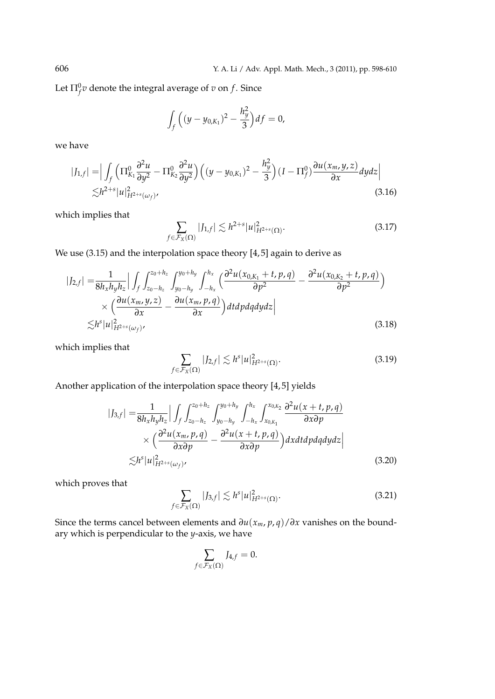Let  $\Pi_f^0 v$  denote the integral average of  $v$  on  $f$ . Since

$$
\int_{f} \Big( (y - y_{0,K_1})^2 - \frac{h_y^2}{3} \Big) df = 0,
$$

we have

$$
|J_{1,f}| = \Big| \int_{f} \Big( \Pi_{K_1}^{0} \frac{\partial^2 u}{\partial y^2} - \Pi_{K_2}^{0} \frac{\partial^2 u}{\partial y^2} \Big) \Big( (y - y_{0,K_1})^2 - \frac{h_y^2}{3} \Big) (I - \Pi_f^0) \frac{\partial u(x_m, y, z)}{\partial x} dy dz \Big|
$$
  
 
$$
\lesssim h^{2+s} |u|_{H^{2+s}(\omega_f)}^2,
$$
 (3.16)

which implies that

$$
\sum_{f \in \mathcal{F}_X(\Omega)} |J_{1,f}| \lesssim h^{2+s} |u|_{H^{2+s}(\Omega)}^2.
$$
 (3.17)

We use (3.15) and the interpolation space theory [4, 5] again to derive as

$$
|J_{2,f}| = \frac{1}{8h_xh_yh_z} \Big| \int_f \int_{z_0-h_z}^{z_0+h_z} \int_{y_0-h_y}^{y_0+h_y} \int_{-h_x}^{h_x} \Big( \frac{\partial^2 u(x_{0,K_1}+t, p, q)}{\partial p^2} - \frac{\partial^2 u(x_{0,K_2}+t, p, q)}{\partial p^2} \Big) \times \Big( \frac{\partial u(x_m, y, z)}{\partial x} - \frac{\partial u(x_m, p, q)}{\partial x} \Big) dt d\rho dq dy dz \Big| \tag{3.18}
$$

which implies that

$$
\sum_{f \in \mathcal{F}_X(\Omega)} |J_{2,f}| \lesssim h^s |u|_{H^{2+s}(\Omega)}^2.
$$
\n(3.19)

Another application of the interpolation space theory [4, 5] yields

$$
|J_{3,f}| = \frac{1}{8h_xh_yh_z} \Big| \int_f \int_{z_0 - h_z}^{z_0 + h_z} \int_{y_0 - h_y}^{y_0 + h_y} \int_{-h_x}^{h_x} \int_{x_{0,K_1}}^{x_{0,K_2}} \frac{\partial^2 u(x+t, p, q)}{\partial x \partial p} \times \Big( \frac{\partial^2 u(x_m, p, q)}{\partial x \partial p} - \frac{\partial^2 u(x+t, p, q)}{\partial x \partial p} \Big) dx dt d p dq dy dz \Big|
$$
  
  $\lesssim h^s |u|_{H^{2+s}(\omega_f)}^2,$  (3.20)

which proves that

$$
\sum_{f \in \mathcal{F}_X(\Omega)} |J_{3,f}| \lesssim h^s |u|_{H^{2+s}(\Omega)}^2.
$$
\n(3.21)

Since the terms cancel between elements and  $\frac{\partial u(x_m, p, q)}{\partial x}$  vanishes on the boundary which is perpendicular to the *y*-axis, we have

$$
\sum_{f \in \mathcal{F}_X(\Omega)} J_{4,f} = 0.
$$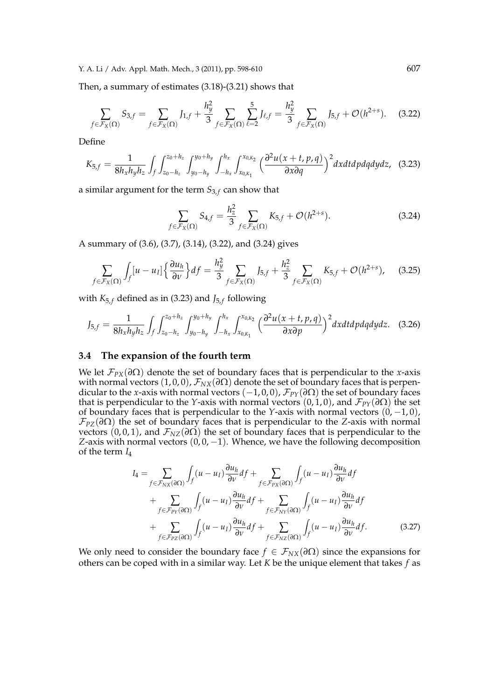Then, a summary of estimates (3.18)-(3.21) shows that

$$
\sum_{f \in \mathcal{F}_X(\Omega)} S_{3,f} = \sum_{f \in \mathcal{F}_X(\Omega)} I_{1,f} + \frac{h_y^2}{3} \sum_{f \in \mathcal{F}_X(\Omega)} \sum_{\ell=2}^5 I_{\ell,f} = \frac{h_y^2}{3} \sum_{f \in \mathcal{F}_X(\Omega)} I_{5,f} + \mathcal{O}(h^{2+s}). \tag{3.22}
$$

Define

$$
K_{5,f} = \frac{1}{8h_xh_yh_z} \int_f \int_{z_0-h_z}^{z_0+h_z} \int_{y_0-h_y}^{y_0+h_y} \int_{-h_x}^{h_x} \int_{x_{0,K_1}}^{x_{0,K_2}} \left(\frac{\partial^2 u(x+t,p,q)}{\partial x \partial q}\right)^2 dx dt dp dq dy dz, \quad (3.23)
$$

a similar argument for the term  $S_{3,f}$  can show that

$$
\sum_{f \in \mathcal{F}_X(\Omega)} S_{4,f} = \frac{h_z^2}{3} \sum_{f \in \mathcal{F}_X(\Omega)} K_{5,f} + \mathcal{O}(h^{2+s}). \tag{3.24}
$$

A summary of (3.6), (3.7), (3.14), (3.22), and (3.24) gives

$$
\sum_{f \in \mathcal{F}_X(\Omega)} \int_f [u - u_I] \left\{ \frac{\partial u_h}{\partial v} \right\} df = \frac{h_y^2}{3} \sum_{f \in \mathcal{F}_X(\Omega)} J_{5,f} + \frac{h_z^2}{3} \sum_{f \in \mathcal{F}_X(\Omega)} K_{5,f} + \mathcal{O}(h^{2+s}), \quad (3.25)
$$

with  $K_{5,f}$  defined as in (3.23) and  $J_{5,f}$  following

$$
J_{5,f} = \frac{1}{8h_xh_yh_z} \int_f \int_{z_0 - h_z}^{z_0 + h_z} \int_{y_0 - h_y}^{y_0 + h_y} \int_{-h_x}^{h_x} \int_{x_{0,K_1}}^{x_{0,K_2}} \left(\frac{\partial^2 u(x + t, p, q)}{\partial x \partial p}\right)^2 dx dt dp dq dy dz.
$$
 (3.26)

#### **3.4 The expansion of the fourth term**

We let  $\mathcal{F}_{PX}(\partial \Omega)$  denote the set of boundary faces that is perpendicular to the *x*-axis with normal vectors  $(1, 0, 0)$ ,  $\mathcal{F}_{NX}(\partial \Omega)$  denote the set of boundary faces that is perpendicular to the *x*-axis with normal vectors (*−*1, 0, 0), *FPY*(*∂*Ω) the set of boundary faces that is perpendicular to the *Y*-axis with normal vectors  $(0, 1, 0)$ , and  $\mathcal{F}_{PY}(\partial \Omega)$  the set of boundary faces that is perpendicular to the *Y*-axis with normal vectors (0, *−*1, 0),  $\mathcal{F}_{PZ}(\partial\Omega)$  the set of boundary faces that is perpendicular to the *Z*-axis with normal vectors (0, 0, 1), and  $\mathcal{F}_{NZ}(\partial \Omega)$  the set of boundary faces that is perpendicular to the *Z*-axis with normal vectors (0, 0, *−*1). Whence, we have the following decomposition of the term *I*<sup>4</sup>

$$
I_{4} = \sum_{f \in \mathcal{F}_{NX}(\partial \Omega)} \int_{f} (u - u_{I}) \frac{\partial u_{h}}{\partial v} df + \sum_{f \in \mathcal{F}_{PX}(\partial \Omega)} \int_{f} (u - u_{I}) \frac{\partial u_{h}}{\partial v} df + \sum_{f \in \mathcal{F}_{PY}(\partial \Omega)} \int_{f} (u - u_{I}) \frac{\partial u_{h}}{\partial v} df + \sum_{f \in \mathcal{F}_{NY}(\partial \Omega)} \int_{f} (u - u_{I}) \frac{\partial u_{h}}{\partial v} df + \sum_{f \in \mathcal{F}_{PZ}(\partial \Omega)} \int_{f} (u - u_{I}) \frac{\partial u_{h}}{\partial v} df + \sum_{f \in \mathcal{F}_{NZ}(\partial \Omega)} \int_{f} (u - u_{I}) \frac{\partial u_{h}}{\partial v} df.
$$
(3.27)

We only need to consider the boundary face  $f \in \mathcal{F}_{NX}(\partial \Omega)$  since the expansions for others can be coped with in a similar way. Let *K* be the unique element that takes *f* as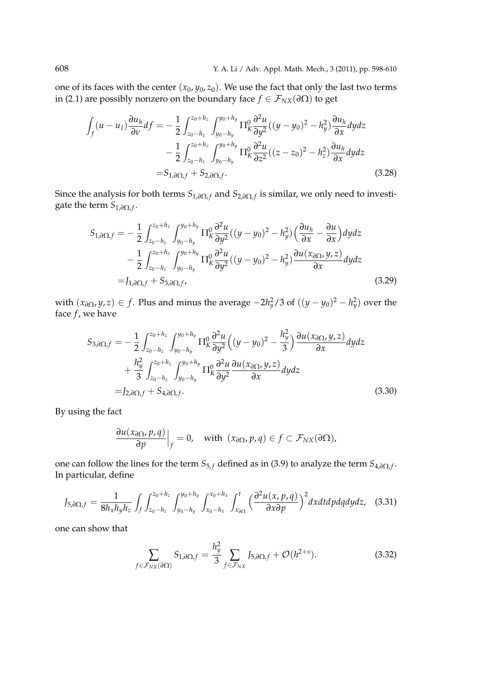one of its faces with the center  $(x_0, y_0, z_0)$ . We use the fact that only the last two terms in (2.1) are possibly nonzero on the boundary face  $f \in \mathcal{F}_{NX}(\partial \Omega)$  to get

$$
\int_{f} (u - u_{I}) \frac{\partial u_{h}}{\partial v} df = -\frac{1}{2} \int_{z_{0} - h_{z}}^{z_{0} + h_{z}} \int_{y_{0} - h_{y}}^{y_{0} + h_{y}} \Pi_{K}^{0} \frac{\partial^{2} u}{\partial y^{2}} ((y - y_{0})^{2} - h_{y}^{2}) \frac{\partial u_{h}}{\partial x} dy dz \n- \frac{1}{2} \int_{z_{0} - h_{z}}^{z_{0} + h_{z}} \int_{y_{0} - h_{y}}^{y_{0} + h_{y}} \Pi_{K}^{0} \frac{\partial^{2} u}{\partial z^{2}} ((z - z_{0})^{2} - h_{z}^{2}) \frac{\partial u_{h}}{\partial x} dy dz \n= S_{1, \partial \Omega, f} + S_{2, \partial \Omega, f}. \tag{3.28}
$$

Since the analysis for both terms  $S_{1,\partial\Omega,f}$  and  $S_{2,\partial\Omega,f}$  is similar, we only need to investigate the term *S*<sub>1,∂Ω,*f*</sub>.

$$
S_{1,\partial\Omega,f} = -\frac{1}{2} \int_{z_0 - h_z}^{z_0 + h_z} \int_{y_0 - h_y}^{y_0 + h_y} \Pi_K^0 \frac{\partial^2 u}{\partial y^2} ((y - y_0)^2 - h_y^2) \left(\frac{\partial u_h}{\partial x} - \frac{\partial u}{\partial x}\right) dy dz - \frac{1}{2} \int_{z_0 - h_z}^{z_0 + h_z} \int_{y_0 - h_y}^{y_0 + h_y} \Pi_K^0 \frac{\partial^2 u}{\partial y^2} ((y - y_0)^2 - h_y^2) \frac{\partial u(x_{\partial\Omega}, y, z)}{\partial x} dy dz = J_{1,\partial\Omega,f} + S_{3,\partial\Omega,f},
$$
(3.29)

 $w$ ith  $(x_{\partial\Omega}, y, z) \in f$ . Plus and minus the average  $-2h_y^2/3$  of  $((y - y_0)^2 - h_y^2)$  over the face  $f$ , we have

$$
S_{3,\partial\Omega,f} = -\frac{1}{2} \int_{z_0 - h_z}^{z_0 + h_z} \int_{y_0 - h_y}^{y_0 + h_y} \Pi_K^0 \frac{\partial^2 u}{\partial y^2} \left( (y - y_0)^2 - \frac{h_y^2}{3} \right) \frac{\partial u(x_{\partial\Omega}, y, z)}{\partial x} dy dz + \frac{h_y^2}{3} \int_{z_0 - h_z}^{z_0 + h_z} \int_{y_0 - h_y}^{y_0 + h_y} \Pi_K^0 \frac{\partial^2 u}{\partial y^2} \frac{\partial u(x_{\partial\Omega}, y, z)}{\partial x} dy dz = J_{2,\partial\Omega,f} + S_{4,\partial\Omega,f}.
$$
 (3.30)

By using the fact

$$
\frac{\partial u(x_{\partial \Omega}, p, q)}{\partial p}\Big|_f = 0, \text{ with } (x_{\partial \Omega}, p, q) \in f \subset \mathcal{F}_{NX}(\partial \Omega),
$$

one can follow the lines for the term  $S_{5,f}$  defined as in (3.9) to analyze the term  $S_{4,\partial\Omega,f}$ . In particular, define

$$
J_{5,\partial\Omega,f}=\frac{1}{8h_xh_yh_z}\int_f\int_{z_0-h_z}^{z_0+h_z}\int_{y_0-h_y}^{y_0+h_y}\int_{x_0-h_x}^{x_0+h_x}\int_{x_{\partial\Omega}}^t\Big(\frac{\partial^2u(x,p,q)}{\partial x\partial p}\Big)^2dxdtdpdqdydz,\quad(3.31)
$$

one can show that

$$
\sum_{f \in \mathcal{F}_{NX}(\partial \Omega)} S_{1,\partial \Omega,f} = \frac{h_y^2}{3} \sum_{f \in \mathcal{F}_{NX}} J_{5,\partial \Omega,f} + \mathcal{O}(h^{2+s}). \tag{3.32}
$$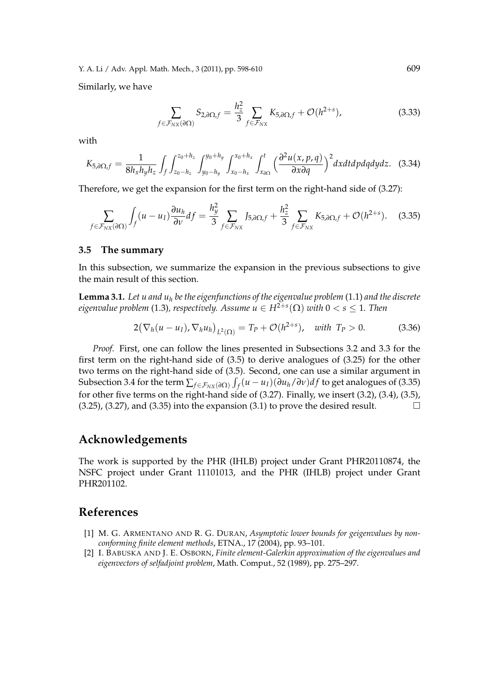Similarly, we have

$$
\sum_{f \in \mathcal{F}_{NX}(\partial \Omega)} S_{2,\partial \Omega, f} = \frac{h_z^2}{3} \sum_{f \in \mathcal{F}_{NX}} K_{5,\partial \Omega, f} + \mathcal{O}(h^{2+s}), \tag{3.33}
$$

with

$$
K_{5,\partial\Omega,f}=\frac{1}{8h_xh_yh_z}\int_f\int_{z_0-h_z}^{z_0+h_z}\int_{y_0-h_y}^{y_0+h_y}\int_{x_0-h_x}^{x_0+h_x}\int_{x_{\partial\Omega}}^t\Big(\frac{\partial^2u(x,p,q)}{\partial x\partial q}\Big)^2dxdtdpdqdydz.
$$
 (3.34)

Therefore, we get the expansion for the first term on the right-hand side of (3.27):

$$
\sum_{f \in \mathcal{F}_{NX}(\partial \Omega)} \int_f (u - u_I) \frac{\partial u_h}{\partial v} df = \frac{h_y^2}{3} \sum_{f \in \mathcal{F}_{NX}} J_{5,\partial \Omega,f} + \frac{h_z^2}{3} \sum_{f \in \mathcal{F}_{NX}} K_{5,\partial \Omega,f} + \mathcal{O}(h^{2+s}). \tag{3.35}
$$

#### **3.5 The summary**

In this subsection, we summarize the expansion in the previous subsections to give the main result of this section.

**Lemma 3.1.** Let u and  $u_h$  be the eigenfunctions of the eigenvalue problem (1.1) and the discrete  $e$ igenvalue problem (1.3), respectively. Assume  $u \in H^{2+s}(\Omega)$  with  $0 < s \leq 1$ . Then

$$
2(\nabla_h(u - u_I), \nabla_h u_h)_{L^2(\Omega)} = T_P + \mathcal{O}(h^{2+s}), \text{ with } T_P > 0.
$$
 (3.36)

*Proof.* First, one can follow the lines presented in Subsections 3.2 and 3.3 for the first term on the right-hand side of (3.5) to derive analogues of (3.25) for the other two terms on the right-hand side of (3.5). Second, one can use a similar argument in Subsection 3.4 for the term  $\sum_{f \in \mathcal{F}_{NX}(\partial \Omega)} \int_f (u - u_I)(\partial u_h / \partial v) df$  to get analogues of (3.35) for other five terms on the right-hand side of (3.27). Finally, we insert (3.2), (3.4), (3.5),  $(3.25)$ ,  $(3.27)$ , and  $(3.35)$  into the expansion  $(3.1)$  to prove the desired result.

### **Acknowledgements**

The work is supported by the PHR (IHLB) project under Grant PHR20110874, the NSFC project under Grant 11101013, and the PHR (IHLB) project under Grant PHR201102.

### **References**

- [1] M. G. ARMENTANO AND R. G. DURAN, *Asymptotic lower bounds for geigenvalues by nonconforming finite element methods*, ETNA., 17 (2004), pp. 93–101.
- [2] I. BABUSKA AND J. E. OSBORN, *Finite element-Galerkin approximation of the eigenvalues and eigenvectors of selfadjoint problem*, Math. Comput., 52 (1989), pp. 275–297.